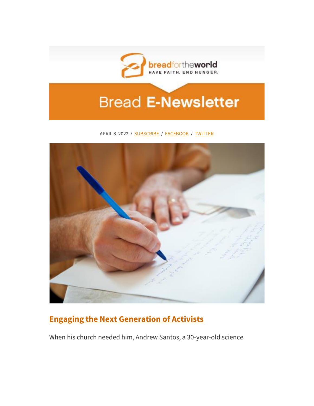

# **Bread E-Newsletter**

#### APRIL 8, 2022 / [SUBSCRIBE](http://act.bread.org/site/R?i=0dLC8wufhgjCGI6D-SdK11CMOehKtac9o9Gm5JH__sT6GhUGOwv8WQ) / [FACEBOOK](http://act.bread.org/site/R?i=v2kVS_89yHYT9eoP2ixnODoICgilDG3e1B5BWwfMsEsHrdWNkW6ZSg) / [TWITTER](http://act.bread.org/site/R?i=2EmITaJ8E0vxwFVYSAK5GO6kwweoWvda3R0XVrcLXhYf0fMkPpDP_A)



# **[Engaging the Next Generation of Activists](http://act.bread.org/site/R?i=_mIw6Jd2SxDT8iip8L5ogCb4JAM2v2hIRhxPIbbQPez9u5vB6kh08A)**

When his church needed him, Andrew Santos, a 30-year-old science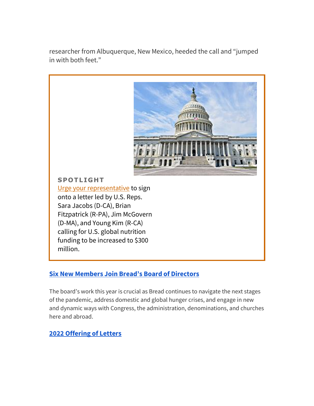researcher from Albuquerque, New Mexico, heeded the call and "jumped in with both feet."



# **[Six New Members Join Bread's Board of Directors](http://act.bread.org/site/R?i=liJVikNgUN7xgzqxZk5XY4PfkSfQwgiCwhlpOREgfh72qlWSE0E6HA)**

The board's work this year is crucial as Bread continues to navigate the next stages of the pandemic, address domestic and global hunger crises, and engage in new and dynamic ways with Congress, the administration, denominations, and churches here and abroad.

# **[2022 Offering of Letters](http://act.bread.org/site/R?i=cMogP6QcFX22wQeqPkhMGc_ZyH0IKoLQyR_wj8YDxv4e37ZYZmiXDw)**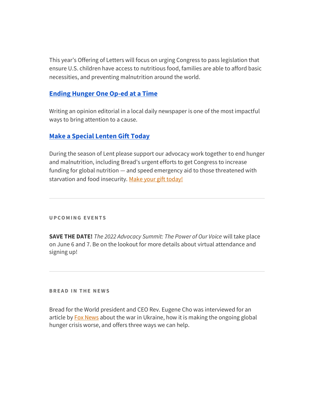This year's Offering of Letters will focus on urging Congress to pass legislation that ensure U.S. children have access to nutritious food, families are able to afford basic necessities, and preventing malnutrition around the world.

### **[Ending Hunger One Op-ed at a Time](http://act.bread.org/site/R?i=XyTUqysbE9IRfQvHwSonB1HUe0FSZkVvtADHxT5bEklrGE1gEWh5Lg)**

Writing an opinion editorial in a local daily newspaper is one of the most impactful ways to bring attention to a cause.

#### **[Make a Special Lenten Gift Today](http://act.bread.org/site/R?i=7riFBjJ3fv8SXkOV5UM9k-VvLu4CpGxqUA19Uaj1DiATDee_6X6-IA)**

During the season of Lent please support our advocacy work together to end hunger and malnutrition, including Bread's urgent efforts to get Congress to increase funding for global nutrition — and speed emergency aid to those threatened with starvation and food insecurity. [Make your gift today!](http://act.bread.org/site/R?i=-jKCwmjXddz4AuX26Ss7tHBGLcTxOzW7G2_q5WlUM-tQoDV1-eBXvg)

**U P C O M I N G E V E N T S**

**SAVE THE DATE!** *The 2022 Advocacy Summit: The Power of Our Voice* will take place on June 6 and 7. Be on the lookout for more details about virtual attendance and signing up!

**BREAD IN THE NEWS** 

Bread for the World president and CEO Rev. Eugene Cho was interviewed for an article by **[Fox News](http://act.bread.org/site/R?i=uiZU3Ftp9KNwcifJhVnPUuzWDI-3Z7BRzppJSBbigBzLBEk5wuNl8Q)** about the war in Ukraine, how it is making the ongoing global hunger crisis worse, and offers three ways we can help.